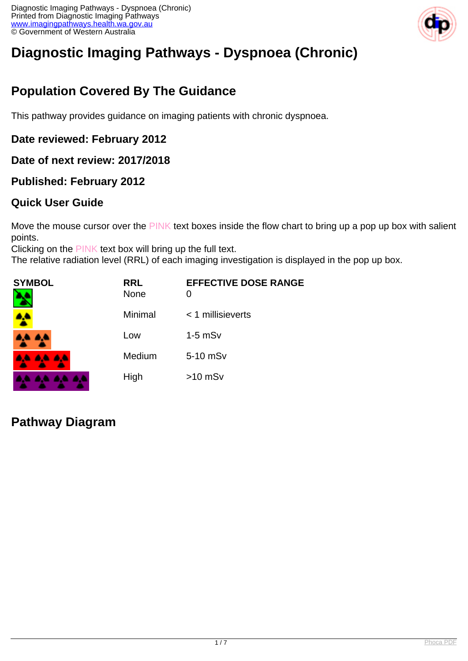

# **Diagnostic Imaging Pathways - Dyspnoea (Chronic)**

## **Population Covered By The Guidance**

This pathway provides guidance on imaging patients with chronic dyspnoea.

#### **Date reviewed: February 2012**

**Date of next review: 2017/2018**

#### **Published: February 2012**

#### **Quick User Guide**

Move the mouse cursor over the PINK text boxes inside the flow chart to bring up a pop up box with salient points.

Clicking on the PINK text box will bring up the full text.

The relative radiation level (RRL) of each imaging investigation is displayed in the pop up box.

| <b>SYMBOL</b><br>٦ | <b>RRL</b><br><b>None</b> | <b>EFFECTIVE DOSE RANGE</b><br>0 |
|--------------------|---------------------------|----------------------------------|
|                    | Minimal                   | $<$ 1 millisieverts              |
| <b>AA AA</b>       | Low                       | $1-5$ mS $v$                     |
| <b>AA AA AA</b>    | Medium                    | 5-10 mSv                         |
| .<br><b>A</b>      | High                      | $>10$ mSv                        |

### **Pathway Diagram**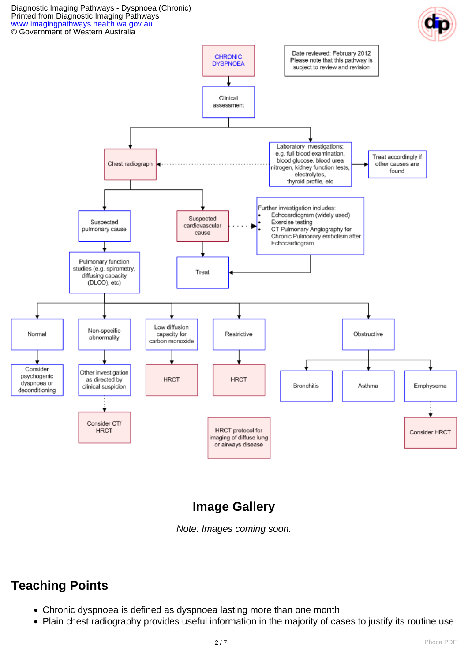#### Diagnostic Imaging Pathways - Dyspnoea (Chronic) Printed from Diagnostic Imaging Pathways [www.imagingpathways.health.wa.gov.au](http://www.imagingpathways.health.wa.gov.au/)



## **Image Gallery**

Note: Images coming soon.

### **Teaching Points**

- Chronic dyspnoea is defined as dyspnoea lasting more than one month
- Plain chest radiography provides useful information in the majority of cases to justify its routine use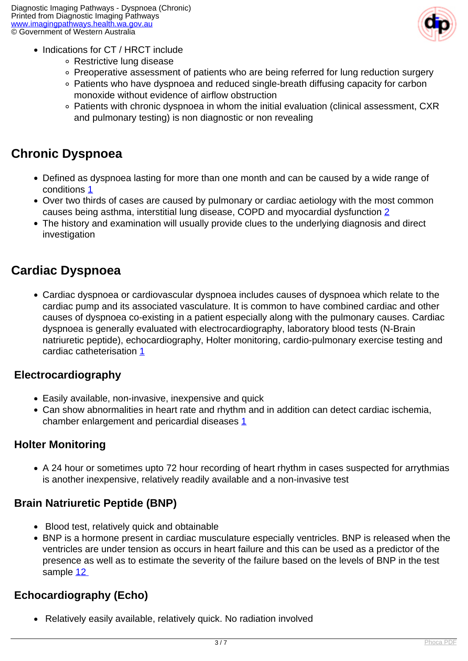

- Indications for CT / HRCT include
	- Restrictive lung disease
	- Preoperative assessment of patients who are being referred for lung reduction surgery
	- Patients who have dyspnoea and reduced single-breath diffusing capacity for carbon monoxide without evidence of airflow obstruction
	- Patients with chronic dyspnoea in whom the initial evaluation (clinical assessment, CXR and pulmonary testing) is non diagnostic or non revealing

### **Chronic Dyspnoea**

- Defined as dyspnoea lasting for more than one month and can be caused by a wide range of conditions [1](index.php/imaging-pathways/respiratory/chronic-dyspnoea?tab=references#1)
- Over two thirds of cases are caused by pulmonary or cardiac aetiology with the most common causes being asthma, interstitial lung disease, COPD and myocardial dysfunction [2](index.php/imaging-pathways/respiratory/chronic-dyspnoea?tab=references#2)
- The history and examination will usually provide clues to the underlying diagnosis and direct investigation

### **Cardiac Dyspnoea**

Cardiac dyspnoea or cardiovascular dyspnoea includes causes of dyspnoea which relate to the cardiac pump and its associated vasculature. It is common to have combined cardiac and other causes of dyspnoea co-existing in a patient especially along with the pulmonary causes. Cardiac dyspnoea is generally evaluated with electrocardiography, laboratory blood tests (N-Brain natriuretic peptide), echocardiography, Holter monitoring, cardio-pulmonary exercise testing and cardiac catheterisation [1](index.php/imaging-pathways/respiratory/chronic-dyspnoea?tab=references#1)

### **Electrocardiography**

- Easily available, non-invasive, inexpensive and quick
- Can show abnormalities in heart rate and rhythm and in addition can detect cardiac ischemia, chamber enlargement and pericardial diseases [1](index.php/imaging-pathways/respiratory/chronic-dyspnoea?tab=references#1)

### **Holter Monitoring**

• A 24 hour or sometimes upto 72 hour recording of heart rhythm in cases suspected for arrythmias is another inexpensive, relatively readily available and a non-invasive test

### **Brain Natriuretic Peptide (BNP)**

- Blood test, relatively quick and obtainable
- BNP is a hormone present in cardiac musculature especially ventricles. BNP is released when the ventricles are under tension as occurs in heart failure and this can be used as a predictor of the presence as well as to estimate the severity of the failure based on the levels of BNP in the test sample [12](index.php/imaging-pathways/respiratory/chronic-dyspnoea?tab=references#12)

### **Echocardiography (Echo)**

Relatively easily available, relatively quick. No radiation involved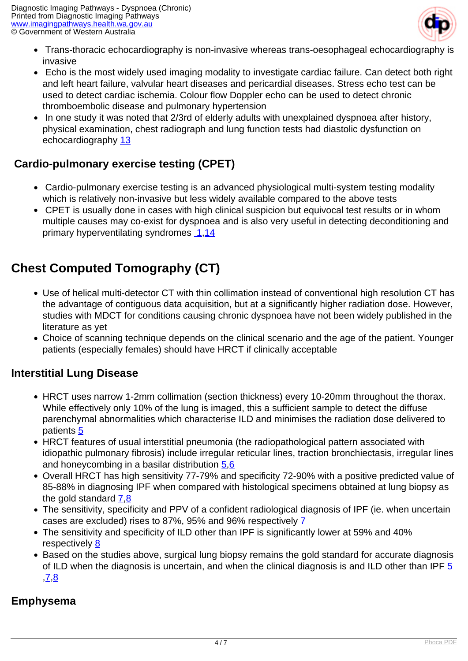

- Trans-thoracic echocardiography is non-invasive whereas trans-oesophageal echocardiography is invasive
- Echo is the most widely used imaging modality to investigate cardiac failure. Can detect both right and left heart failure, valvular heart diseases and pericardial diseases. Stress echo test can be used to detect cardiac ischemia. Colour flow Doppler echo can be used to detect chronic thromboembolic disease and pulmonary hypertension
- In one study it was noted that 2/3rd of elderly adults with unexplained dyspnoea after history, physical examination, chest radiograph and lung function tests had diastolic dysfunction on echocardiography [13](index.php/imaging-pathways/respiratory/chronic-dyspnoea?tab=references#13)

### **Cardio-pulmonary exercise testing (CPET)**

- Cardio-pulmonary exercise testing is an advanced physiological multi-system testing modality which is relatively non-invasive but less widely available compared to the above tests
- CPET is usually done in cases with high clinical suspicion but equivocal test results or in whom multiple causes may co-exist for dyspnoea and is also very useful in detecting deconditioning and primary hyperventilating syndromes [1](index.php/imaging-pathways/respiratory/chronic-dyspnoea?tab=references#1)[,14](index.php/imaging-pathways/respiratory/chronic-dyspnoea?tab=references#14)

## **Chest Computed Tomography (CT)**

- Use of helical multi-detector CT with thin collimation instead of conventional high resolution CT has the advantage of contiguous data acquisition, but at a significantly higher radiation dose. However, studies with MDCT for conditions causing chronic dyspnoea have not been widely published in the literature as yet
- Choice of scanning technique depends on the clinical scenario and the age of the patient. Younger patients (especially females) should have HRCT if clinically acceptable

#### **Interstitial Lung Disease**

- HRCT uses narrow 1-2mm collimation (section thickness) every 10-20mm throughout the thorax. While effectively only 10% of the lung is imaged, this a sufficient sample to detect the diffuse parenchymal abnormalities which characterise ILD and minimises the radiation dose delivered to patients [5](index.php/imaging-pathways/respiratory/chronic-dyspnoea?tab=references#5)
- HRCT features of usual interstitial pneumonia (the radiopathological pattern associated with idiopathic pulmonary fibrosis) include irregular reticular lines, traction bronchiectasis, irregular lines and honeycombing in a basilar distribution [5](index.php/imaging-pathways/respiratory/chronic-dyspnoea?tab=references#5),[6](index.php/imaging-pathways/respiratory/chronic-dyspnoea?tab=references#6)
- Overall HRCT has high sensitivity 77-79% and specificity 72-90% with a positive predicted value of 85-88% in diagnosing IPF when compared with histological specimens obtained at lung biopsy as the gold standard [7](index.php/imaging-pathways/respiratory/chronic-dyspnoea?tab=references#7)[,8](index.php/imaging-pathways/respiratory/chronic-dyspnoea?tab=references#8)
- The sensitivity, specificity and PPV of a confident radiological diagnosis of IPF (ie. when uncertain cases are excluded) rises to 87%, 95% and 96% respectively [7](index.php/imaging-pathways/respiratory/chronic-dyspnoea?tab=references#7)
- The sensitivity and specificity of ILD other than IPF is significantly lower at 59% and 40% respectively [8](index.php/imaging-pathways/respiratory/chronic-dyspnoea?tab=references#8)
- Based on the studies above, surgical lung biopsy remains the gold standard for accurate diagnosis of ILD when the diagnosis is uncertain, and when the clinical diagnosis is and ILD other than IPF [5](index.php/imaging-pathways/respiratory/chronic-dyspnoea?tab=references#5) ,[7](index.php/imaging-pathways/respiratory/chronic-dyspnoea?tab=references#7),[8](index.php/imaging-pathways/respiratory/chronic-dyspnoea?tab=references#8)

### **Emphysema**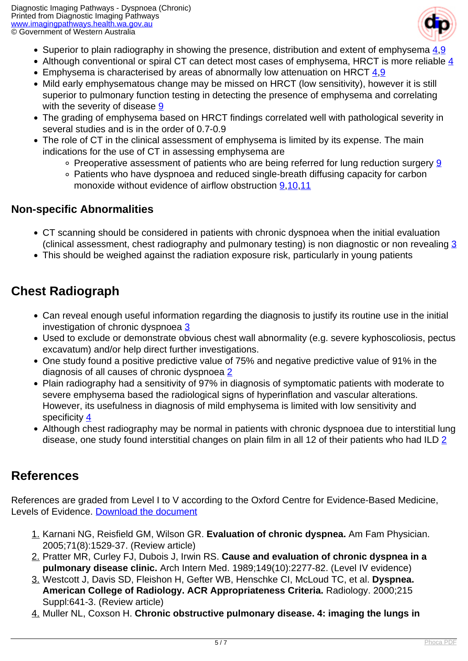

- Superior to plain radiography in showing the presence, distribution and extent of emphysema  $4.9$
- Although conventional or spiral CT can detect most cases of emphysema, HRCT is more reliable  $\frac{4}{3}$
- **Emphysema is characterised by areas of abnormally low attenuation on HRCT**  $\frac{4,9}{4,9}$  $\frac{4,9}{4,9}$  $\frac{4,9}{4,9}$  $\frac{4,9}{4,9}$  $\frac{4,9}{4,9}$
- Mild early emphysematous change may be missed on HRCT (low sensitivity), however it is still superior to pulmonary function testing in detecting the presence of emphysema and correlating with the severity of disease  $9$
- The grading of emphysema based on HRCT findings correlated well with pathological severity in several studies and is in the order of 0.7-0.9
- The role of CT in the clinical assessment of emphysema is limited by its expense. The main indications for the use of CT in assessing emphysema are
	- $\circ$  Preoperative assessment of patients who are being referred for lung reduction surgery [9](index.php/imaging-pathways/respiratory/chronic-dyspnoea?tab=references#9)
	- Patients who have dyspnoea and reduced single-breath diffusing capacity for carbon monoxide without evidence of airflow obstruction [9](index.php/imaging-pathways/respiratory/chronic-dyspnoea?tab=references#9),[10](index.php/imaging-pathways/respiratory/chronic-dyspnoea?tab=references#10)[,11](index.php/imaging-pathways/respiratory/chronic-dyspnoea?tab=references#11)

#### **Non-specific Abnormalities**

- CT scanning should be considered in patients with chronic dyspnoea when the initial evaluation (clinical assessment, chest radiography and pulmonary testing) is non diagnostic or non revealing  $\frac{3}{5}$
- This should be weighed against the radiation exposure risk, particularly in young patients

### **Chest Radiograph**

- Can reveal enough useful information regarding the diagnosis to justify its routine use in the initial investigation of chronic dyspnoea [3](index.php/imaging-pathways/respiratory/chronic-dyspnoea?tab=references#3)
- Used to exclude or demonstrate obvious chest wall abnormality (e.g. severe kyphoscoliosis, pectus excavatum) and/or help direct further investigations.
- One study found a positive predictive value of 75% and negative predictive value of 91% in the diagnosis of all causes of chronic dyspnoea [2](index.php/imaging-pathways/respiratory/chronic-dyspnoea?tab=references#2)
- Plain radiography had a sensitivity of 97% in diagnosis of symptomatic patients with moderate to severe emphysema based the radiological signs of hyperinflation and vascular alterations. However, its usefulness in diagnosis of mild emphysema is limited with low sensitivity and specificity [4](index.php/imaging-pathways/respiratory/chronic-dyspnoea?tab=references#4)
- Although chest radiography may be normal in patients with chronic dyspnoea due to interstitial lung disease, one study found interstitial changes on plain film in all 12 of their patients who had ILD [2](index.php/imaging-pathways/respiratory/chronic-dyspnoea?tab=references#2)

### **References**

References are graded from Level I to V according to the Oxford Centre for Evidence-Based Medicine, Levels of Evidence. [Download the document](http://www.cebm.net/wp-content/uploads/2014/06/CEBM-Levels-of-Evidence-2.1.pdf)

- 1. Karnani NG, Reisfield GM, Wilson GR. **Evaluation of chronic dyspnea.** Am Fam Physician. 2005;71(8):1529-37. (Review article)
- 2. Pratter MR, Curley FJ, Dubois J, Irwin RS. **Cause and evaluation of chronic dyspnea in a pulmonary disease clinic.** Arch Intern Med. 1989;149(10):2277-82. (Level IV evidence)
- 3. Westcott J, Davis SD, Fleishon H, Gefter WB, Henschke CI, McLoud TC, et al. **Dyspnea. American College of Radiology. ACR Appropriateness Criteria.** Radiology. 2000;215 Suppl:641-3. (Review article)
- 4. Muller NL, Coxson H. **Chronic obstructive pulmonary disease. 4: imaging the lungs in**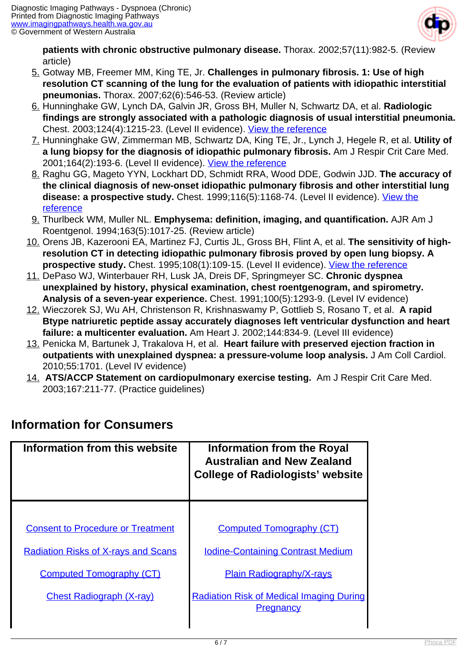

**patients with chronic obstructive pulmonary disease.** Thorax. 2002;57(11):982-5. (Review article)

- 5. Gotway MB, Freemer MM, King TE, Jr. **Challenges in pulmonary fibrosis. 1: Use of high resolution CT scanning of the lung for the evaluation of patients with idiopathic interstitial pneumonias.** Thorax. 2007;62(6):546-53. (Review article)
- 6. Hunninghake GW, Lynch DA, Galvin JR, Gross BH, Muller N, Schwartz DA, et al. **Radiologic findings are strongly associated with a pathologic diagnosis of usual interstitial pneumonia.** Chest. 2003;124(4):1215-23. (Level II evidence). [View the reference](http://www.ncbi.nlm.nih.gov/pubmed/14555549)
- 7. Hunninghake GW, Zimmerman MB, Schwartz DA, King TE, Jr., Lynch J, Hegele R, et al. **Utility of a lung biopsy for the diagnosis of idiopathic pulmonary fibrosis.** Am J Respir Crit Care Med. 2001;164(2):193-6. (Level II evidence). [View the reference](http://www.ncbi.nlm.nih.gov/pubmed/11463586)
- 8. Raghu GG, Mageto YYN, Lockhart DD, Schmidt RRA, Wood DDE, Godwin JJD. **The accuracy of the clinical diagnosis of new-onset idiopathic pulmonary fibrosis and other interstitial lung** disease: a prospective study. Chest. 1999;116(5):1168-74. (Level II evidence). *View the* [reference](http://www.ncbi.nlm.nih.gov/pubmed/10559072)
- 9. Thurlbeck WM, Muller NL. **Emphysema: definition, imaging, and quantification.** AJR Am J Roentgenol. 1994;163(5):1017-25. (Review article)
- 10. Orens JB, Kazerooni EA, Martinez FJ, Curtis JL, Gross BH, Flint A, et al. **The sensitivity of highresolution CT in detecting idiopathic pulmonary fibrosis proved by open lung biopsy. A** prospective study. Chest. 1995;108(1):109-15. (Level II evidence). [View the reference](http://www.ncbi.nlm.nih.gov/pubmed/7606943)
- 11. DePaso WJ, Winterbauer RH, Lusk JA, Dreis DF, Springmeyer SC. **Chronic dyspnea unexplained by history, physical examination, chest roentgenogram, and spirometry. Analysis of a seven-year experience.** Chest. 1991;100(5):1293-9. (Level IV evidence)
- 12. Wieczorek SJ, Wu AH, Christenson R, Krishnaswamy P, Gottlieb S, Rosano T, et al. **A rapid Btype natriuretic peptide assay accurately diagnoses left ventricular dysfunction and heart failure: a multicenter evaluation.** Am Heart J. 2002;144:834-9. (Level III evidence)
- 13. Penicka M, Bartunek J, Trakalova H, et al. **Heart failure with preserved ejection fraction in outpatients with unexplained dyspnea: a pressure-volume loop analysis.** J Am Coll Cardiol. 2010;55:1701. (Level IV evidence)
- 14. **ATS/ACCP Statement on cardiopulmonary exercise testing.** Am J Respir Crit Care Med. 2003;167:211-77. (Practice guidelines)

| Information from this website              | <b>Information from the Royal</b><br><b>Australian and New Zealand</b><br><b>College of Radiologists' website</b> |
|--------------------------------------------|-------------------------------------------------------------------------------------------------------------------|
|                                            |                                                                                                                   |
| <b>Consent to Procedure or Treatment</b>   | <b>Computed Tomography (CT)</b>                                                                                   |
| <b>Radiation Risks of X-rays and Scans</b> | <b>Iodine-Containing Contrast Medium</b>                                                                          |
| <b>Computed Tomography (CT)</b>            | <b>Plain Radiography/X-rays</b>                                                                                   |
| <b>Chest Radiograph (X-ray)</b>            | <b>Radiation Risk of Medical Imaging During</b><br><b>Pregnancy</b>                                               |

## **Information for Consumers**